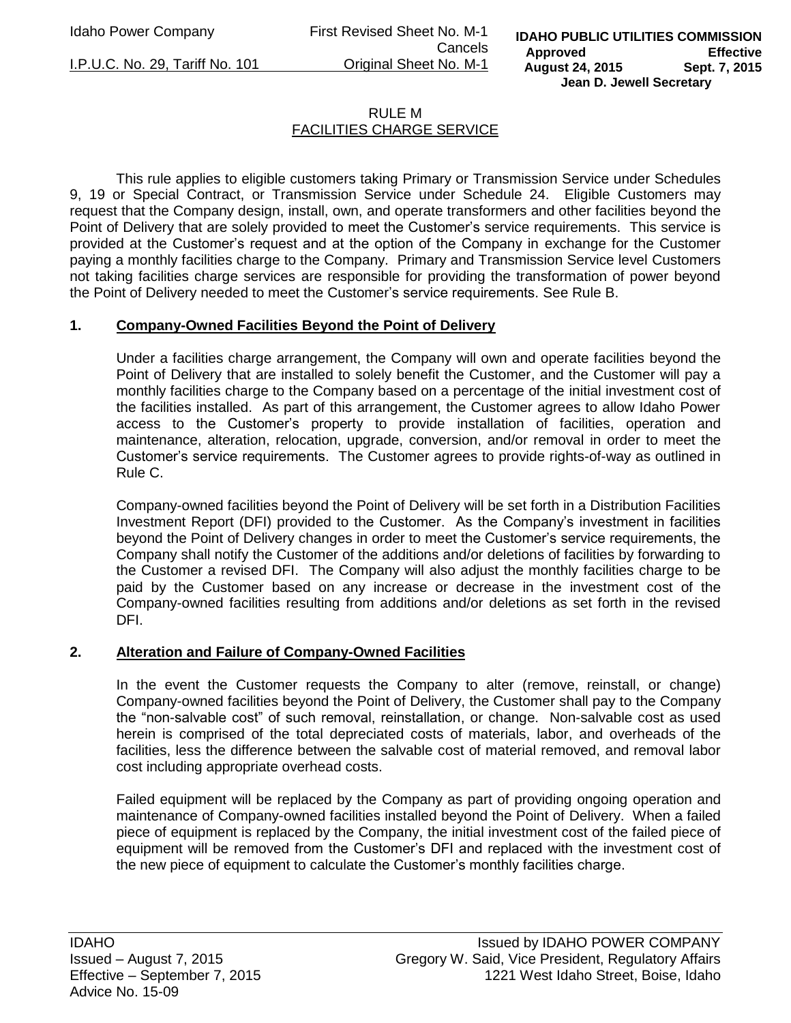Idaho Power Company First Revised Sheet No. M-1 Cancels I.P.U.C. No. 29, Tariff No. 101 Original Sheet No. M-1

# RULE M FACILITIES CHARGE SERVICE

 This rule applies to eligible customers taking Primary or Transmission Service under Schedules 9, 19 or Special Contract, or Transmission Service under Schedule 24. Eligible Customers may request that the Company design, install, own, and operate transformers and other facilities beyond the Point of Delivery that are solely provided to meet the Customer's service requirements. This service is provided at the Customer's request and at the option of the Company in exchange for the Customer paying a monthly facilities charge to the Company. Primary and Transmission Service level Customers not taking facilities charge services are responsible for providing the transformation of power beyond the Point of Delivery needed to meet the Customer's service requirements. See Rule B.

### **1. Company-Owned Facilities Beyond the Point of Delivery**

Under a facilities charge arrangement, the Company will own and operate facilities beyond the Point of Delivery that are installed to solely benefit the Customer, and the Customer will pay a monthly facilities charge to the Company based on a percentage of the initial investment cost of the facilities installed. As part of this arrangement, the Customer agrees to allow Idaho Power access to the Customer's property to provide installation of facilities, operation and maintenance, alteration, relocation, upgrade, conversion, and/or removal in order to meet the Customer's service requirements. The Customer agrees to provide rights-of-way as outlined in Rule C.

Company-owned facilities beyond the Point of Delivery will be set forth in a Distribution Facilities Investment Report (DFI) provided to the Customer. As the Company's investment in facilities beyond the Point of Delivery changes in order to meet the Customer's service requirements, the Company shall notify the Customer of the additions and/or deletions of facilities by forwarding to the Customer a revised DFI. The Company will also adjust the monthly facilities charge to be paid by the Customer based on any increase or decrease in the investment cost of the Company-owned facilities resulting from additions and/or deletions as set forth in the revised DFI.

### **2. Alteration and Failure of Company-Owned Facilities**

In the event the Customer requests the Company to alter (remove, reinstall, or change) Company-owned facilities beyond the Point of Delivery, the Customer shall pay to the Company the "non-salvable cost" of such removal, reinstallation, or change. Non-salvable cost as used herein is comprised of the total depreciated costs of materials, labor, and overheads of the facilities, less the difference between the salvable cost of material removed, and removal labor cost including appropriate overhead costs.

Failed equipment will be replaced by the Company as part of providing ongoing operation and maintenance of Company-owned facilities installed beyond the Point of Delivery. When a failed piece of equipment is replaced by the Company, the initial investment cost of the failed piece of equipment will be removed from the Customer's DFI and replaced with the investment cost of the new piece of equipment to calculate the Customer's monthly facilities charge.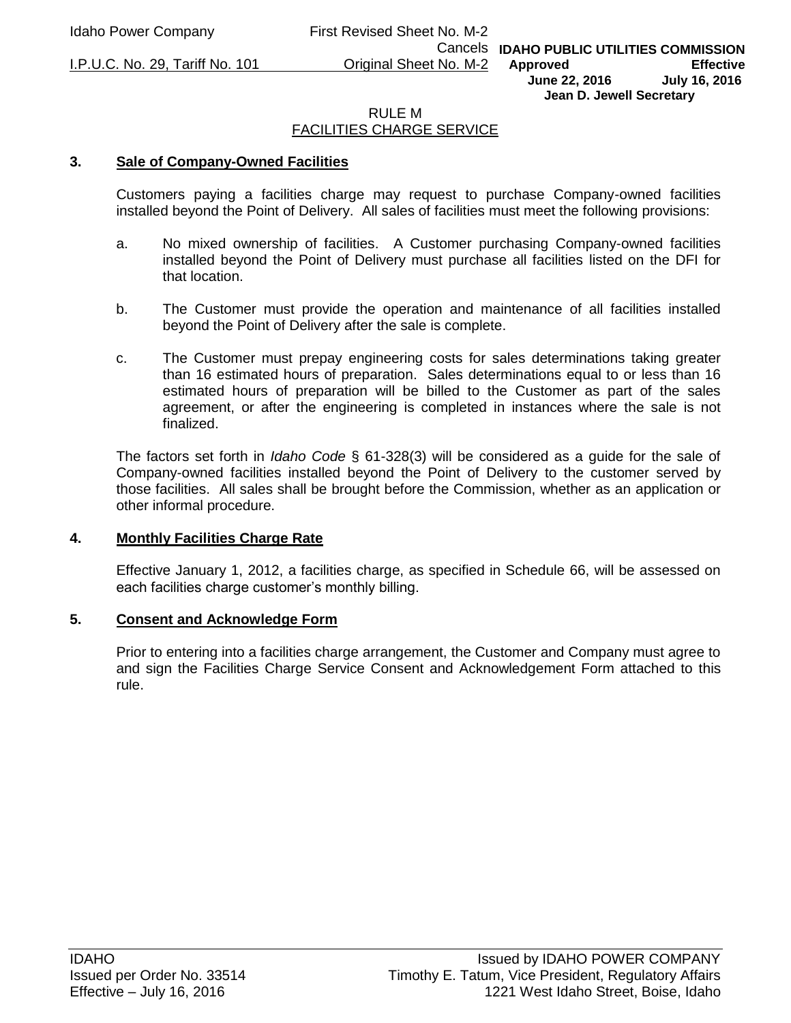I.P.U.C. No. 29, Tariff No. 101 Original Sheet No. M-2

Cancels **IDAHO PUBLIC UTILITIES COMMISSION Approved Effective June 22, 2016 July 16, 2016 Jean D. Jewell Secretary** 

#### RULE M FACILITIES CHARGE SERVICE

#### **3. Sale of Company-Owned Facilities**

Customers paying a facilities charge may request to purchase Company-owned facilities installed beyond the Point of Delivery. All sales of facilities must meet the following provisions:

- a. No mixed ownership of facilities. A Customer purchasing Company-owned facilities installed beyond the Point of Delivery must purchase all facilities listed on the DFI for that location.
- b. The Customer must provide the operation and maintenance of all facilities installed beyond the Point of Delivery after the sale is complete.
- c. The Customer must prepay engineering costs for sales determinations taking greater than 16 estimated hours of preparation. Sales determinations equal to or less than 16 estimated hours of preparation will be billed to the Customer as part of the sales agreement, or after the engineering is completed in instances where the sale is not finalized.

The factors set forth in *Idaho Code* § 61-328(3) will be considered as a guide for the sale of Company-owned facilities installed beyond the Point of Delivery to the customer served by those facilities. All sales shall be brought before the Commission, whether as an application or other informal procedure.

#### **4. Monthly Facilities Charge Rate**

Effective January 1, 2012, a facilities charge, as specified in Schedule 66, will be assessed on each facilities charge customer's monthly billing.

#### **5. Consent and Acknowledge Form**

Prior to entering into a facilities charge arrangement, the Customer and Company must agree to and sign the Facilities Charge Service Consent and Acknowledgement Form attached to this rule.